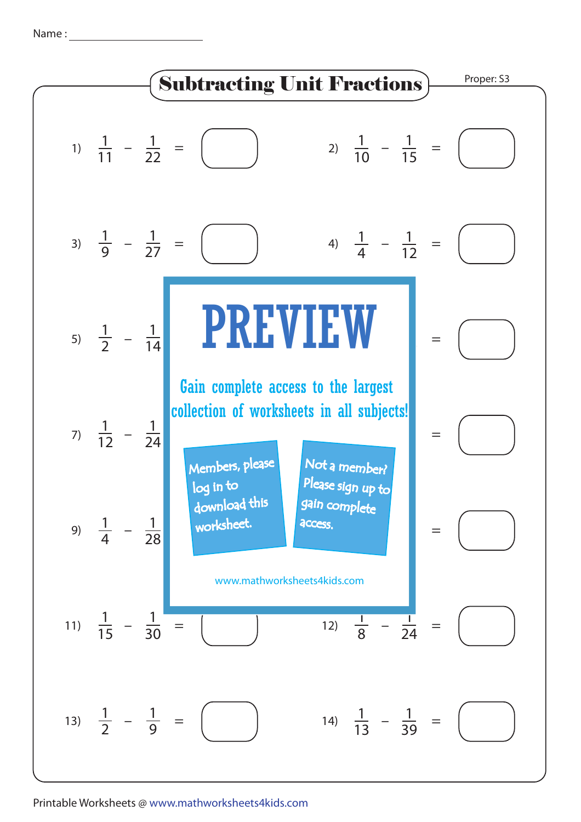